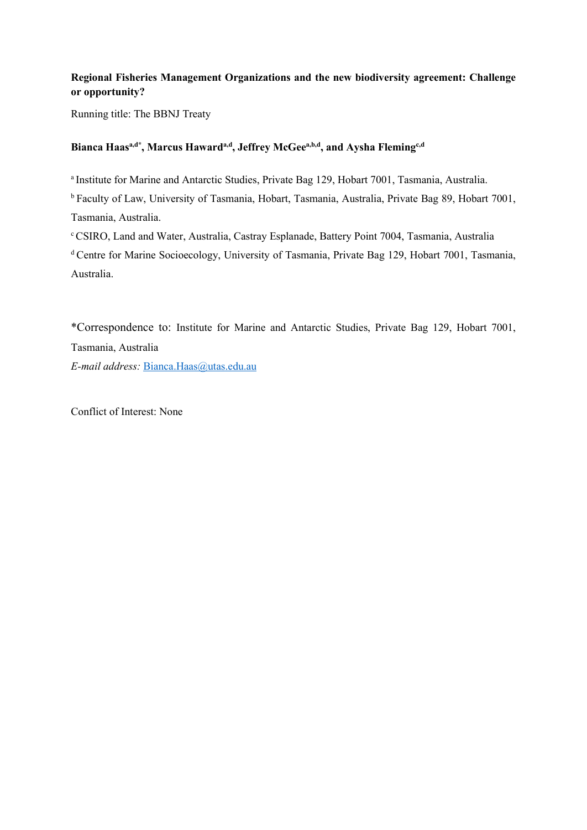# **Regional Fisheries Management Organizations and the new biodiversity agreement: Challenge or opportunity?**

Running title: The BBNJ Treaty

# Bianca Haas<sup>a,d\*</sup>, Marcus Haward<sup>a,d</sup>, Jeffrey McGee<sup>a,b,d</sup>, and Aysha Fleming<sup>c,d</sup>

a Institute for Marine and Antarctic Studies, Private Bag 129, Hobart 7001, Tasmania, Australia.

<sup>b</sup> Faculty of Law, University of Tasmania, Hobart, Tasmania, Australia, Private Bag 89, Hobart 7001, Tasmania, Australia.

<sup>c</sup>CSIRO, Land and Water, Australia, Castray Esplanade, Battery Point 7004, Tasmania, Australia <sup>d</sup> Centre for Marine Socioecology, University of Tasmania, Private Bag 129, Hobart 7001, Tasmania, Australia.

\*Correspondence to: Institute for Marine and Antarctic Studies, Private Bag 129, Hobart 7001, Tasmania, Australia *E-mail address:* [Bianca.Haas@utas.edu.au](mailto:Bianca.Haas@utas.edu.au)

Conflict of Interest: None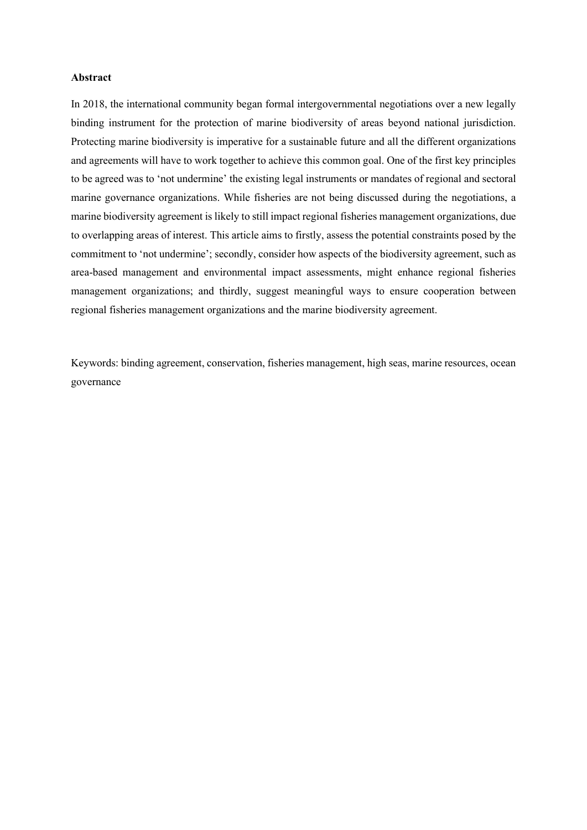#### **Abstract**

In 2018, the international community began formal intergovernmental negotiations over a new legally binding instrument for the protection of marine biodiversity of areas beyond national jurisdiction. Protecting marine biodiversity is imperative for a sustainable future and all the different organizations and agreements will have to work together to achieve this common goal. One of the first key principles to be agreed was to 'not undermine' the existing legal instruments or mandates of regional and sectoral marine governance organizations. While fisheries are not being discussed during the negotiations, a marine biodiversity agreement is likely to still impact regional fisheries management organizations, due to overlapping areas of interest. This article aims to firstly, assess the potential constraints posed by the commitment to 'not undermine'; secondly, consider how aspects of the biodiversity agreement, such as area-based management and environmental impact assessments, might enhance regional fisheries management organizations; and thirdly, suggest meaningful ways to ensure cooperation between regional fisheries management organizations and the marine biodiversity agreement.

Keywords: binding agreement, conservation, fisheries management, high seas, marine resources, ocean governance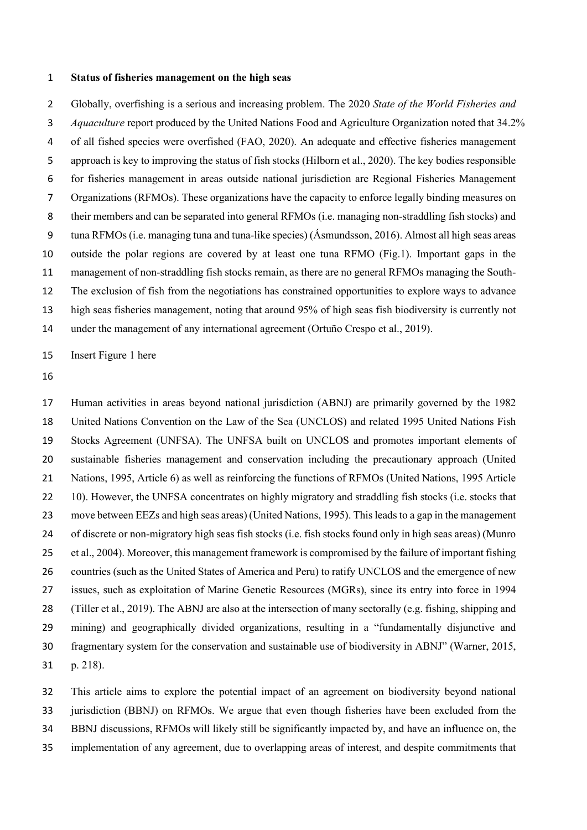#### **Status of fisheries management on the high seas**

 Globally, overfishing is a serious and increasing problem. The 2020 *State of the World Fisheries and Aquaculture* report produced by the United Nations Food and Agriculture Organization noted that 34.2% of all fished species were overfished (FAO, 2020). An adequate and effective fisheries management approach is key to improving the status of fish stocks (Hilborn et al., 2020). The key bodies responsible for fisheries management in areas outside national jurisdiction are Regional Fisheries Management Organizations (RFMOs). These organizations have the capacity to enforce legally binding measures on their members and can be separated into general RFMOs (i.e. managing non-straddling fish stocks) and tuna RFMOs (i.e. managing tuna and tuna-like species) (Ásmundsson, 2016). Almost all high seas areas outside the polar regions are covered by at least one tuna RFMO (Fig.1). Important gaps in the management of non-straddling fish stocks remain, as there are no general RFMOs managing the South- The exclusion of fish from the negotiations has constrained opportunities to explore ways to advance high seas fisheries management, noting that around 95% of high seas fish biodiversity is currently not

under the management of any international agreement (Ortuño Crespo et al., 2019).

Insert Figure 1 here

 Human activities in areas beyond national jurisdiction (ABNJ) are primarily governed by the 1982 United Nations Convention on the Law of the Sea (UNCLOS) and related 1995 United Nations Fish Stocks Agreement (UNFSA). The UNFSA built on UNCLOS and promotes important elements of sustainable fisheries management and conservation including the precautionary approach (United Nations, 1995, Article 6) as well as reinforcing the functions of RFMOs (United Nations, 1995 Article 22 10). However, the UNFSA concentrates on highly migratory and straddling fish stocks (i.e. stocks that move between EEZs and high seas areas) (United Nations, 1995). This leads to a gap in the management of discrete or non-migratory high seas fish stocks (i.e. fish stocks found only in high seas areas) (Munro et al., 2004). Moreover, this management framework is compromised by the failure of important fishing countries (such as the United States of America and Peru) to ratify UNCLOS and the emergence of new issues, such as exploitation of Marine Genetic Resources (MGRs), since its entry into force in 1994 (Tiller et al., 2019). The ABNJ are also at the intersection of many sectorally (e.g. fishing, shipping and mining) and geographically divided organizations, resulting in a "fundamentally disjunctive and fragmentary system for the conservation and sustainable use of biodiversity in ABNJ" (Warner, 2015, p. 218).

 This article aims to explore the potential impact of an agreement on biodiversity beyond national jurisdiction (BBNJ) on RFMOs. We argue that even though fisheries have been excluded from the BBNJ discussions, RFMOs will likely still be significantly impacted by, and have an influence on, the implementation of any agreement, due to overlapping areas of interest, and despite commitments that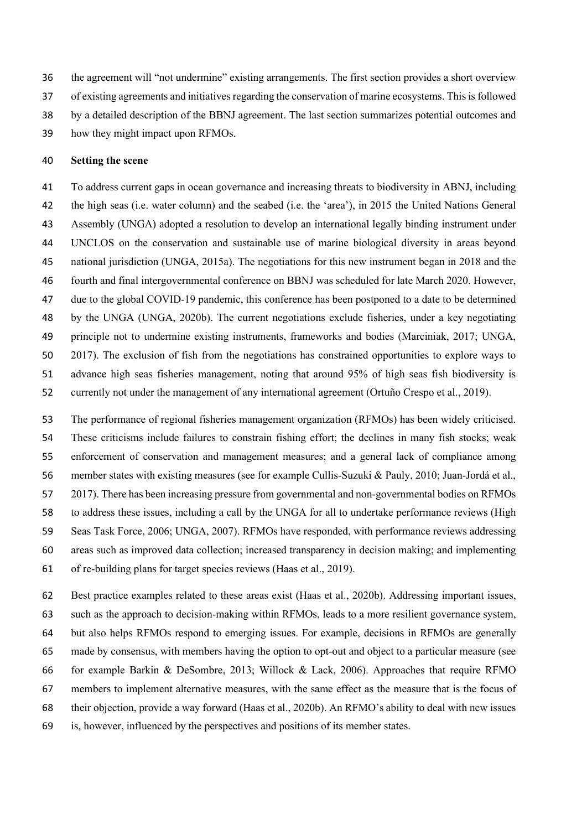the agreement will "not undermine" existing arrangements. The first section provides a short overview of existing agreements and initiatives regarding the conservation of marine ecosystems. This is followed by a detailed description of the BBNJ agreement. The last section summarizes potential outcomes and how they might impact upon RFMOs.

#### **Setting the scene**

 To address current gaps in ocean governance and increasing threats to biodiversity in ABNJ, including the high seas (i.e. water column) and the seabed (i.e. the 'area'), in 2015 the United Nations General Assembly (UNGA) adopted a resolution to develop an international legally binding instrument under UNCLOS on the conservation and sustainable use of marine biological diversity in areas beyond national jurisdiction (UNGA, 2015a). The negotiations for this new instrument began in 2018 and the fourth and final intergovernmental conference on BBNJ was scheduled for late March 2020. However, due to the global COVID-19 pandemic, this conference has been postponed to a date to be determined by the UNGA (UNGA, 2020b). The current negotiations exclude fisheries, under a key negotiating principle not to undermine existing instruments, frameworks and bodies (Marciniak, 2017; UNGA, 2017). The exclusion of fish from the negotiations has constrained opportunities to explore ways to advance high seas fisheries management, noting that around 95% of high seas fish biodiversity is currently not under the management of any international agreement (Ortuño Crespo et al., 2019).

 The performance of regional fisheries management organization (RFMOs) has been widely criticised. These criticisms include failures to constrain fishing effort; the declines in many fish stocks; weak enforcement of conservation and management measures; and a general lack of compliance among member states with existing measures (see for example Cullis-Suzuki & Pauly, 2010; Juan-Jordá et al., 2017). There has been increasing pressure from governmental and non-governmental bodies on RFMOs to address these issues, including a call by the UNGA for all to undertake performance reviews (High Seas Task Force, 2006; UNGA, 2007). RFMOs have responded, with performance reviews addressing areas such as improved data collection; increased transparency in decision making; and implementing of re-building plans for target species reviews (Haas et al., 2019).

 Best practice examples related to these areas exist (Haas et al., 2020b). Addressing important issues, such as the approach to decision-making within RFMOs, leads to a more resilient governance system, but also helps RFMOs respond to emerging issues. For example, decisions in RFMOs are generally made by consensus, with members having the option to opt-out and object to a particular measure (see for example Barkin & DeSombre, 2013; Willock & Lack, 2006). Approaches that require RFMO members to implement alternative measures, with the same effect as the measure that is the focus of their objection, provide a way forward (Haas et al., 2020b). An RFMO's ability to deal with new issues is, however, influenced by the perspectives and positions of its member states.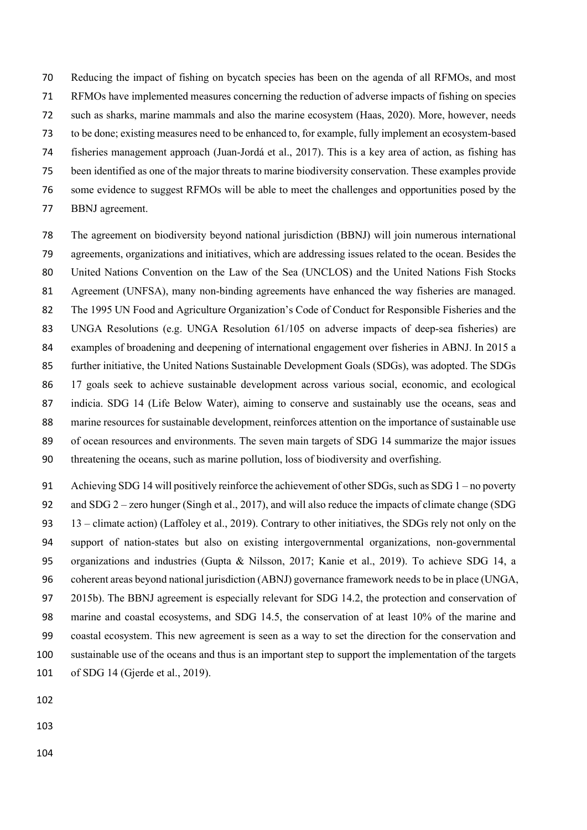Reducing the impact of fishing on bycatch species has been on the agenda of all RFMOs, and most RFMOs have implemented measures concerning the reduction of adverse impacts of fishing on species such as sharks, marine mammals and also the marine ecosystem (Haas, 2020). More, however, needs to be done; existing measures need to be enhanced to, for example, fully implement an ecosystem-based fisheries management approach (Juan-Jordá et al., 2017). This is a key area of action, as fishing has been identified as one of the major threats to marine biodiversity conservation. These examples provide some evidence to suggest RFMOs will be able to meet the challenges and opportunities posed by the BBNJ agreement.

 The agreement on biodiversity beyond national jurisdiction (BBNJ) will join numerous international agreements, organizations and initiatives, which are addressing issues related to the ocean. Besides the United Nations Convention on the Law of the Sea (UNCLOS) and the United Nations Fish Stocks Agreement (UNFSA), many non-binding agreements have enhanced the way fisheries are managed. The 1995 UN Food and Agriculture Organization's Code of Conduct for Responsible Fisheries and the UNGA Resolutions (e.g. UNGA Resolution 61/105 on adverse impacts of deep-sea fisheries) are examples of broadening and deepening of international engagement over fisheries in ABNJ. In 2015 a further initiative, the United Nations Sustainable Development Goals (SDGs), was adopted. The SDGs 17 goals seek to achieve sustainable development across various social, economic, and ecological indicia. SDG 14 (Life Below Water), aiming to conserve and sustainably use the oceans, seas and marine resources for sustainable development, reinforces attention on the importance of sustainable use of ocean resources and environments. The seven main targets of SDG 14 summarize the major issues threatening the oceans, such as marine pollution, loss of biodiversity and overfishing.

91 Achieving SDG 14 will positively reinforce the achievement of other SDGs, such as SDG – no poverty and SDG 2 – zero hunger (Singh et al., 2017), and will also reduce the impacts of climate change (SDG 13 – climate action) (Laffoley et al., 2019). Contrary to other initiatives, the SDGs rely not only on the support of nation-states but also on existing intergovernmental organizations, non-governmental organizations and industries (Gupta & Nilsson, 2017; Kanie et al., 2019). To achieve SDG 14, a coherent areas beyond national jurisdiction (ABNJ) governance framework needs to be in place (UNGA, 2015b). The BBNJ agreement is especially relevant for SDG 14.2, the protection and conservation of marine and coastal ecosystems, and SDG 14.5, the conservation of at least 10% of the marine and coastal ecosystem. This new agreement is seen as a way to set the direction for the conservation and sustainable use of the oceans and thus is an important step to support the implementation of the targets of SDG 14 (Gjerde et al., 2019).

- 
- 
-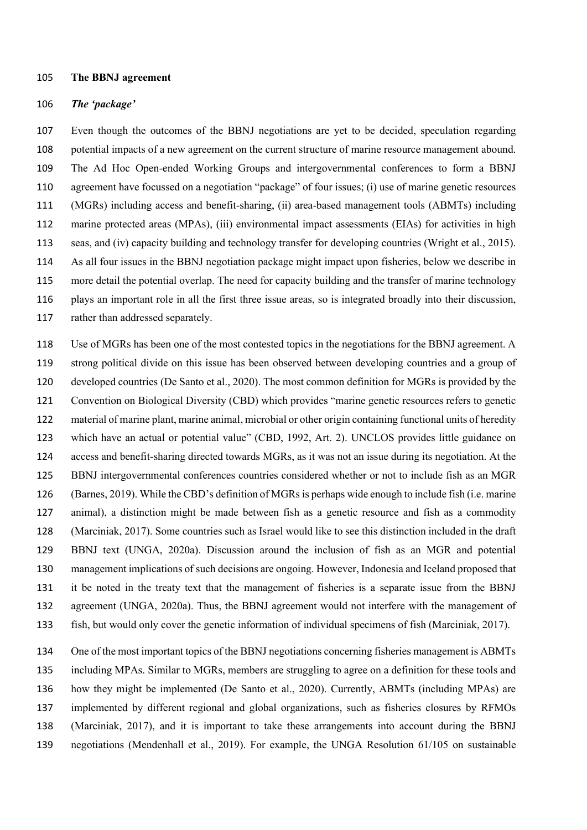#### **The BBNJ agreement**

#### *The 'package'*

 Even though the outcomes of the BBNJ negotiations are yet to be decided, speculation regarding potential impacts of a new agreement on the current structure of marine resource management abound. The Ad Hoc Open-ended Working Groups and intergovernmental conferences to form a BBNJ agreement have focussed on a negotiation "package" of four issues; (i) use of marine genetic resources (MGRs) including access and benefit-sharing, (ii) area-based management tools (ABMTs) including marine protected areas (MPAs), (iii) environmental impact assessments (EIAs) for activities in high seas, and (iv) capacity building and technology transfer for developing countries (Wright et al., 2015). As all four issues in the BBNJ negotiation package might impact upon fisheries, below we describe in more detail the potential overlap. The need for capacity building and the transfer of marine technology plays an important role in all the first three issue areas, so is integrated broadly into their discussion, 117 rather than addressed separately.

 Use of MGRs has been one of the most contested topics in the negotiations for the BBNJ agreement. A strong political divide on this issue has been observed between developing countries and a group of developed countries (De Santo et al., 2020). The most common definition for MGRs is provided by the Convention on Biological Diversity (CBD) which provides "marine genetic resources refers to genetic material of marine plant, marine animal, microbial or other origin containing functional units of heredity which have an actual or potential value" (CBD, 1992, Art. 2). UNCLOS provides little guidance on access and benefit-sharing directed towards MGRs, as it was not an issue during its negotiation. At the BBNJ intergovernmental conferences countries considered whether or not to include fish as an MGR (Barnes, 2019). While the CBD's definition of MGRsis perhaps wide enough to include fish (i.e. marine animal), a distinction might be made between fish as a genetic resource and fish as a commodity (Marciniak, 2017). Some countries such as Israel would like to see this distinction included in the draft BBNJ text (UNGA, 2020a). Discussion around the inclusion of fish as an MGR and potential management implications of such decisions are ongoing. However, Indonesia and Iceland proposed that it be noted in the treaty text that the management of fisheries is a separate issue from the BBNJ agreement (UNGA, 2020a). Thus, the BBNJ agreement would not interfere with the management of fish, but would only cover the genetic information of individual specimens of fish (Marciniak, 2017).

 One of the most important topics of the BBNJ negotiations concerning fisheries management is ABMTs including MPAs. Similar to MGRs, members are struggling to agree on a definition for these tools and how they might be implemented (De Santo et al., 2020). Currently, ABMTs (including MPAs) are implemented by different regional and global organizations, such as fisheries closures by RFMOs (Marciniak, 2017), and it is important to take these arrangements into account during the BBNJ negotiations (Mendenhall et al., 2019). For example, the UNGA Resolution 61/105 on sustainable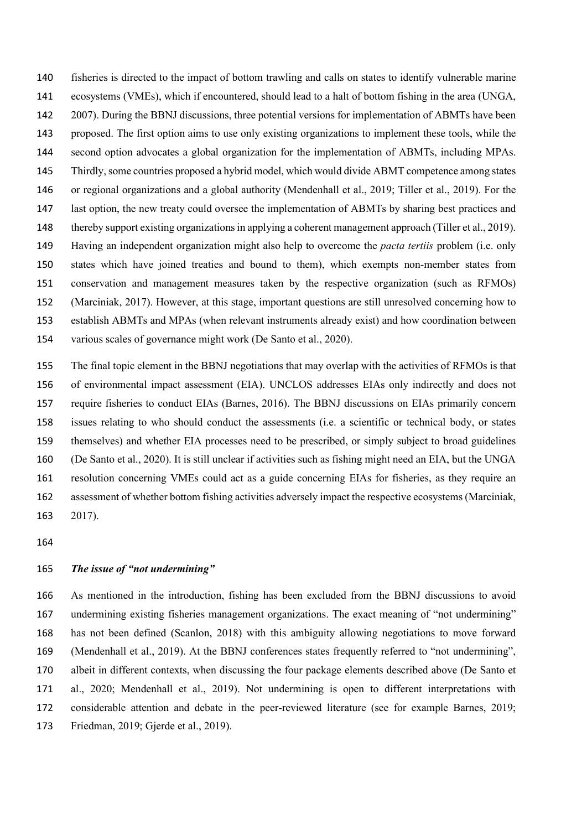fisheries is directed to the impact of bottom trawling and calls on states to identify vulnerable marine ecosystems (VMEs), which if encountered, should lead to a halt of bottom fishing in the area (UNGA, 2007). During the BBNJ discussions, three potential versions for implementation of ABMTs have been proposed. The first option aims to use only existing organizations to implement these tools, while the second option advocates a global organization for the implementation of ABMTs, including MPAs. Thirdly, some countries proposed a hybrid model, which would divide ABMT competence among states or regional organizations and a global authority (Mendenhall et al., 2019; Tiller et al., 2019). For the last option, the new treaty could oversee the implementation of ABMTs by sharing best practices and thereby support existing organizations in applying a coherent management approach (Tiller et al., 2019). Having an independent organization might also help to overcome the *pacta tertiis* problem (i.e. only states which have joined treaties and bound to them), which exempts non-member states from conservation and management measures taken by the respective organization (such as RFMOs) (Marciniak, 2017). However, at this stage, important questions are still unresolved concerning how to establish ABMTs and MPAs (when relevant instruments already exist) and how coordination between various scales of governance might work (De Santo et al., 2020).

 The final topic element in the BBNJ negotiations that may overlap with the activities of RFMOs is that of environmental impact assessment (EIA). UNCLOS addresses EIAs only indirectly and does not require fisheries to conduct EIAs (Barnes, 2016). The BBNJ discussions on EIAs primarily concern issues relating to who should conduct the assessments (i.e. a scientific or technical body, or states themselves) and whether EIA processes need to be prescribed, or simply subject to broad guidelines (De Santo et al., 2020). It is still unclear if activities such as fishing might need an EIA, but the UNGA resolution concerning VMEs could act as a guide concerning EIAs for fisheries, as they require an assessment of whether bottom fishing activities adversely impact the respective ecosystems (Marciniak, 2017).

### *The issue of "not undermining"*

 As mentioned in the introduction, fishing has been excluded from the BBNJ discussions to avoid undermining existing fisheries management organizations. The exact meaning of "not undermining" has not been defined (Scanlon, 2018) with this ambiguity allowing negotiations to move forward (Mendenhall et al., 2019). At the BBNJ conferences states frequently referred to "not undermining", albeit in different contexts, when discussing the four package elements described above (De Santo et al., 2020; Mendenhall et al., 2019). Not undermining is open to different interpretations with considerable attention and debate in the peer-reviewed literature (see for example Barnes, 2019; Friedman, 2019; Gjerde et al., 2019).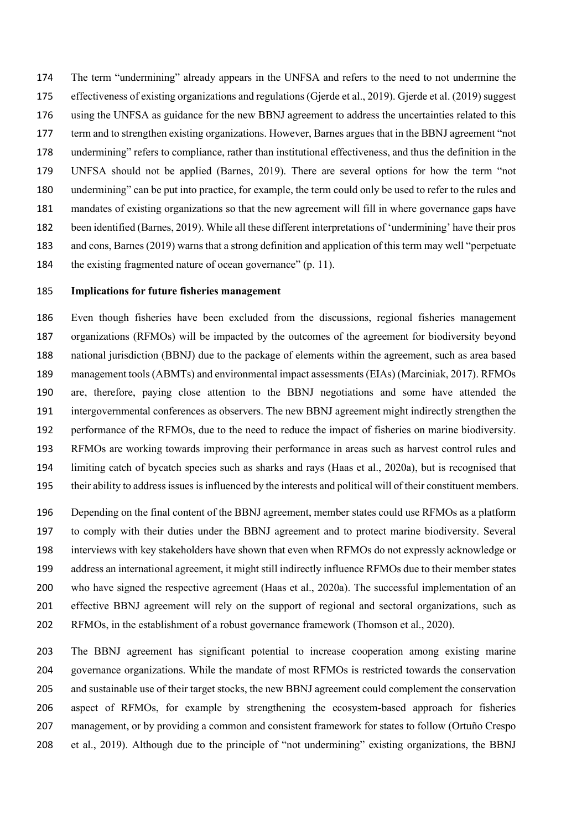The term "undermining" already appears in the UNFSA and refers to the need to not undermine the effectiveness of existing organizations and regulations (Gjerde et al., 2019). Gjerde et al. (2019) suggest using the UNFSA as guidance for the new BBNJ agreement to address the uncertainties related to this term and to strengthen existing organizations. However, Barnes argues that in the BBNJ agreement "not undermining" refers to compliance, rather than institutional effectiveness, and thus the definition in the UNFSA should not be applied (Barnes, 2019). There are several options for how the term "not undermining" can be put into practice, for example, the term could only be used to refer to the rules and mandates of existing organizations so that the new agreement will fill in where governance gaps have been identified (Barnes, 2019). While all these different interpretations of 'undermining' have their pros and cons, Barnes (2019) warns that a strong definition and application of this term may well "perpetuate 184 the existing fragmented nature of ocean governance" (p. 11).

### **Implications for future fisheries management**

 Even though fisheries have been excluded from the discussions, regional fisheries management organizations (RFMOs) will be impacted by the outcomes of the agreement for biodiversity beyond national jurisdiction (BBNJ) due to the package of elements within the agreement, such as area based management tools (ABMTs) and environmental impact assessments (EIAs) (Marciniak, 2017). RFMOs are, therefore, paying close attention to the BBNJ negotiations and some have attended the intergovernmental conferences as observers. The new BBNJ agreement might indirectly strengthen the performance of the RFMOs, due to the need to reduce the impact of fisheries on marine biodiversity. RFMOs are working towards improving their performance in areas such as harvest control rules and limiting catch of bycatch species such as sharks and rays (Haas et al., 2020a), but is recognised that their ability to address issues is influenced by the interests and political will of their constituent members.

 Depending on the final content of the BBNJ agreement, member states could use RFMOs as a platform to comply with their duties under the BBNJ agreement and to protect marine biodiversity. Several interviews with key stakeholders have shown that even when RFMOs do not expressly acknowledge or address an international agreement, it might still indirectly influence RFMOs due to their member states who have signed the respective agreement (Haas et al., 2020a). The successful implementation of an effective BBNJ agreement will rely on the support of regional and sectoral organizations, such as RFMOs, in the establishment of a robust governance framework (Thomson et al., 2020).

 The BBNJ agreement has significant potential to increase cooperation among existing marine governance organizations. While the mandate of most RFMOs is restricted towards the conservation and sustainable use of their target stocks, the new BBNJ agreement could complement the conservation aspect of RFMOs, for example by strengthening the ecosystem-based approach for fisheries management, or by providing a common and consistent framework for states to follow (Ortuño Crespo et al., 2019). Although due to the principle of "not undermining" existing organizations, the BBNJ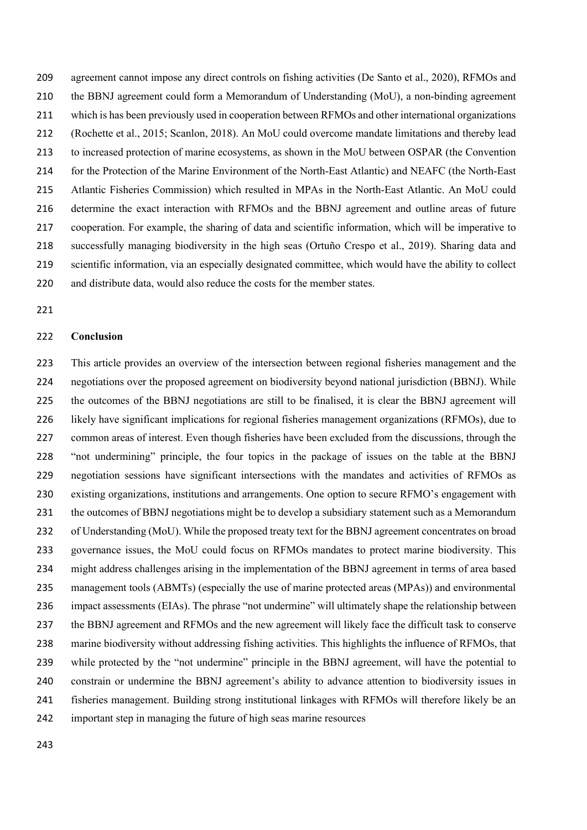agreement cannot impose any direct controls on fishing activities (De Santo et al., 2020), RFMOs and the BBNJ agreement could form a Memorandum of Understanding (MoU), a non-binding agreement which is has been previously used in cooperation between RFMOs and other international organizations (Rochette et al., 2015; Scanlon, 2018). An MoU could overcome mandate limitations and thereby lead to increased protection of marine ecosystems, as shown in the MoU between OSPAR (the Convention for the Protection of the Marine Environment of the North-East Atlantic) and NEAFC (the North-East Atlantic Fisheries Commission) which resulted in MPAs in the North-East Atlantic. An MoU could determine the exact interaction with RFMOs and the BBNJ agreement and outline areas of future cooperation. For example, the sharing of data and scientific information, which will be imperative to successfully managing biodiversity in the high seas (Ortuño Crespo et al., 2019). Sharing data and scientific information, via an especially designated committee, which would have the ability to collect and distribute data, would also reduce the costs for the member states.

### **Conclusion**

 This article provides an overview of the intersection between regional fisheries management and the negotiations over the proposed agreement on biodiversity beyond national jurisdiction (BBNJ). While the outcomes of the BBNJ negotiations are still to be finalised, it is clear the BBNJ agreement will likely have significant implications for regional fisheries management organizations (RFMOs), due to common areas of interest. Even though fisheries have been excluded from the discussions, through the "not undermining" principle, the four topics in the package of issues on the table at the BBNJ negotiation sessions have significant intersections with the mandates and activities of RFMOs as existing organizations, institutions and arrangements. One option to secure RFMO's engagement with the outcomes of BBNJ negotiations might be to develop a subsidiary statement such as a Memorandum of Understanding (MoU). While the proposed treaty text for the BBNJ agreement concentrates on broad governance issues, the MoU could focus on RFMOs mandates to protect marine biodiversity. This might address challenges arising in the implementation of the BBNJ agreement in terms of area based management tools (ABMTs) (especially the use of marine protected areas (MPAs)) and environmental impact assessments (EIAs). The phrase "not undermine" will ultimately shape the relationship between the BBNJ agreement and RFMOs and the new agreement will likely face the difficult task to conserve marine biodiversity without addressing fishing activities. This highlights the influence of RFMOs, that while protected by the "not undermine" principle in the BBNJ agreement, will have the potential to constrain or undermine the BBNJ agreement's ability to advance attention to biodiversity issues in fisheries management. Building strong institutional linkages with RFMOs will therefore likely be an important step in managing the future of high seas marine resources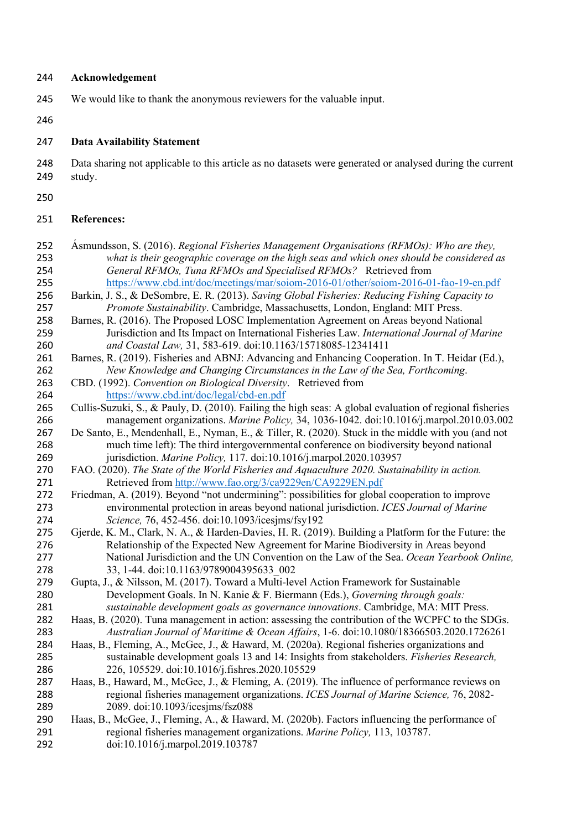### **Acknowledgement**

- We would like to thank the anonymous reviewers for the valuable input.
- 

### **Data Availability Statement**

 Data sharing not applicable to this article as no datasets were generated or analysed during the current study.

## **References:**

- Ásmundsson, S. (2016). *Regional Fisheries Management Organisations (RFMOs): Who are they, what is their geographic coverage on the high seas and which ones should be considered as General RFMOs, Tuna RFMOs and Specialised RFMOs?* Retrieved from <https://www.cbd.int/doc/meetings/mar/soiom-2016-01/other/soiom-2016-01-fao-19-en.pdf>
- Barkin, J. S., & DeSombre, E. R. (2013). *Saving Global Fisheries: Reducing Fishing Capacity to Promote Sustainability*. Cambridge, Massachusetts, London, England: MIT Press.
- Barnes, R. (2016). The Proposed LOSC Implementation Agreement on Areas beyond National Jurisdiction and Its Impact on International Fisheries Law. *International Journal of Marine and Coastal Law,* 31, 583-619. doi:10.1163/15718085-12341411
- Barnes, R. (2019). Fisheries and ABNJ: Advancing and Enhancing Cooperation. In T. Heidar (Ed.), *New Knowledge and Changing Circumstances in the Law of the Sea, Forthcoming*.
- CBD. (1992). *Convention on Biological Diversity*. Retrieved from <https://www.cbd.int/doc/legal/cbd-en.pdf>
- Cullis-Suzuki, S., & Pauly, D. (2010). Failing the high seas: A global evaluation of regional fisheries management organizations. *Marine Policy,* 34, 1036-1042. doi:10.1016/j.marpol.2010.03.002
- De Santo, E., Mendenhall, E., Nyman, E., & Tiller, R. (2020). Stuck in the middle with you (and not much time left): The third intergovernmental conference on biodiversity beyond national jurisdiction. *Marine Policy,* 117. doi:10.1016/j.marpol.2020.103957
- FAO. (2020). *The State of the World Fisheries and Aquaculture 2020. Sustainability in action.* Retrieved from<http://www.fao.org/3/ca9229en/CA9229EN.pdf>
- Friedman, A. (2019). Beyond "not undermining": possibilities for global cooperation to improve environmental protection in areas beyond national jurisdiction. *ICES Journal of Marine Science,* 76, 452-456. doi:10.1093/icesjms/fsy192
- Gjerde, K. M., Clark, N. A., & Harden-Davies, H. R. (2019). Building a Platform for the Future: the Relationship of the Expected New Agreement for Marine Biodiversity in Areas beyond National Jurisdiction and the UN Convention on the Law of the Sea. *Ocean Yearbook Online,*  278 33, 1-44. doi:10.1163/9789004395633 002
- Gupta, J., & Nilsson, M. (2017). Toward a Multi-level Action Framework for Sustainable Development Goals. In N. Kanie & F. Biermann (Eds.), *Governing through goals: sustainable development goals as governance innovations*. Cambridge, MA: MIT Press.
- Haas, B. (2020). Tuna management in action: assessing the contribution of the WCPFC to the SDGs. *Australian Journal of Maritime & Ocean Affairs*, 1-6. doi:10.1080/18366503.2020.1726261
- Haas, B., Fleming, A., McGee, J., & Haward, M. (2020a). Regional fisheries organizations and sustainable development goals 13 and 14: Insights from stakeholders. *Fisheries Research,*  226, 105529. doi:10.1016/j.fishres.2020.105529
- Haas, B., Haward, M., McGee, J., & Fleming, A. (2019). The influence of performance reviews on regional fisheries management organizations. *ICES Journal of Marine Science,* 76, 2082- 2089. doi:10.1093/icesjms/fsz088
- Haas, B., McGee, J., Fleming, A., & Haward, M. (2020b). Factors influencing the performance of regional fisheries management organizations. *Marine Policy,* 113, 103787. doi:10.1016/j.marpol.2019.103787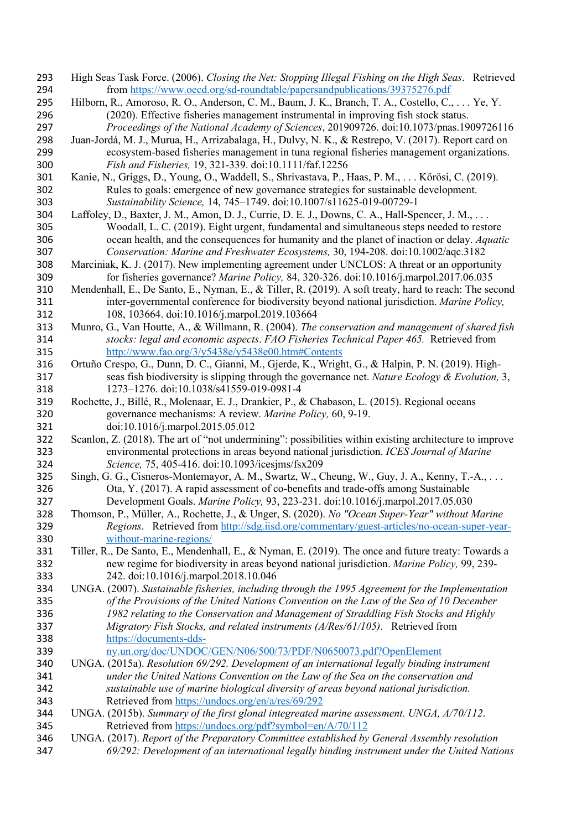- High Seas Task Force. (2006). *Closing the Net: Stopping Illegal Fishing on the High Seas*. Retrieved from<https://www.oecd.org/sd-roundtable/papersandpublications/39375276.pdf>
- Hilborn, R., Amoroso, R. O., Anderson, C. M., Baum, J. K., Branch, T. A., Costello, C., . . . Ye, Y. (2020). Effective fisheries management instrumental in improving fish stock status. *Proceedings of the National Academy of Sciences*, 201909726. doi:10.1073/pnas.1909726116
- Juan-Jordá, M. J., Murua, H., Arrizabalaga, H., Dulvy, N. K., & Restrepo, V. (2017). Report card on ecosystem-based fisheries management in tuna regional fisheries management organizations. *Fish and Fisheries,* 19, 321-339. doi:10.1111/faf.12256
- Kanie, N., Griggs, D., Young, O., Waddell, S., Shrivastava, P., Haas, P. M., . . . Kőrösi, C. (2019). Rules to goals: emergence of new governance strategies for sustainable development. *Sustainability Science,* 14, 745–1749. doi:10.1007/s11625-019-00729-1
- Laffoley, D., Baxter, J. M., Amon, D. J., Currie, D. E. J., Downs, C. A., Hall-Spencer, J. M., . . . Woodall, L. C. (2019). Eight urgent, fundamental and simultaneous steps needed to restore ocean health, and the consequences for humanity and the planet of inaction or delay. *Aquatic Conservation: Marine and Freshwater Ecosystems,* 30, 194-208. doi:10.1002/aqc.3182
- Marciniak, K. J. (2017). New implementing agreement under UNCLOS: A threat or an opportunity for fisheries governance? *Marine Policy,* 84, 320-326. doi:10.1016/j.marpol.2017.06.035
- Mendenhall, E., De Santo, E., Nyman, E., & Tiller, R. (2019). A soft treaty, hard to reach: The second inter-governmental conference for biodiversity beyond national jurisdiction. *Marine Policy,*  108, 103664. doi:10.1016/j.marpol.2019.103664
- Munro, G., Van Houtte, A., & Willmann, R. (2004). *The conservation and management of shared fish stocks: legal and economic aspects*. *FAO Fisheries Technical Paper 465.* Retrieved from <http://www.fao.org/3/y5438e/y5438e00.htm#Contents>
- Ortuño Crespo, G., Dunn, D. C., Gianni, M., Gjerde, K., Wright, G., & Halpin, P. N. (2019). High- seas fish biodiversity is slipping through the governance net. *Nature Ecology & Evolution,* 3, 1273–1276. doi:10.1038/s41559-019-0981-4
- Rochette, J., Billé, R., Molenaar, E. J., Drankier, P., & Chabason, L. (2015). Regional oceans governance mechanisms: A review. *Marine Policy,* 60, 9-19. doi:10.1016/j.marpol.2015.05.012
- Scanlon, Z. (2018). The art of "not undermining": possibilities within existing architecture to improve environmental protections in areas beyond national jurisdiction. *ICES Journal of Marine Science,* 75, 405-416. doi:10.1093/icesjms/fsx209
- Singh, G. G., Cisneros-Montemayor, A. M., Swartz, W., Cheung, W., Guy, J. A., Kenny, T.-A., . . . Ota, Y. (2017). A rapid assessment of co-benefits and trade-offs among Sustainable Development Goals. *Marine Policy,* 93, 223-231. doi:10.1016/j.marpol.2017.05.030
- Thomson, P., Müller, A., Rochette, J., & Unger, S. (2020). *No "Ocean Super-Year" without Marine Regions*. Retrieved from [http://sdg.iisd.org/commentary/guest-articles/no-ocean-super-year-](http://sdg.iisd.org/commentary/guest-articles/no-ocean-super-year-without-marine-regions/)[without-marine-regions/](http://sdg.iisd.org/commentary/guest-articles/no-ocean-super-year-without-marine-regions/)
- Tiller, R., De Santo, E., Mendenhall, E., & Nyman, E. (2019). The once and future treaty: Towards a new regime for biodiversity in areas beyond national jurisdiction. *Marine Policy,* 99, 239- 242. doi:10.1016/j.marpol.2018.10.046
- UNGA. (2007). *Sustainable fisheries, including through the 1995 Agreement for the Implementation of the Provisions of the United Nations Convention on the Law of the Sea of 10 December 1982 relating to the Conservation and Management of Straddling Fish Stocks and Highly Migratory Fish Stocks, and related instruments (A/Res/61/105)*. Retrieved from [https://documents-dds-](https://documents-dds-ny.un.org/doc/UNDOC/GEN/N06/500/73/PDF/N0650073.pdf?OpenElement)
- [ny.un.org/doc/UNDOC/GEN/N06/500/73/PDF/N0650073.pdf?OpenElement](https://documents-dds-ny.un.org/doc/UNDOC/GEN/N06/500/73/PDF/N0650073.pdf?OpenElement)
- UNGA. (2015a). *Resolution 69/292. Development of an international legally binding instrument under the United Nations Convention on the Law of the Sea on the conservation and sustainable use of marine biological diversity of areas beyond national jurisdiction.* Retrieved from<https://undocs.org/en/a/res/69/292>
- UNGA. (2015b). *Summary of the first glonal integreated marine assessment. UNGA, A/70/112*. Retrieved from<https://undocs.org/pdf?symbol=en/A/70/112>
- UNGA. (2017). *Report of the Preparatory Committee established by General Assembly resolution 69/292: Development of an international legally binding instrument under the United Nations*